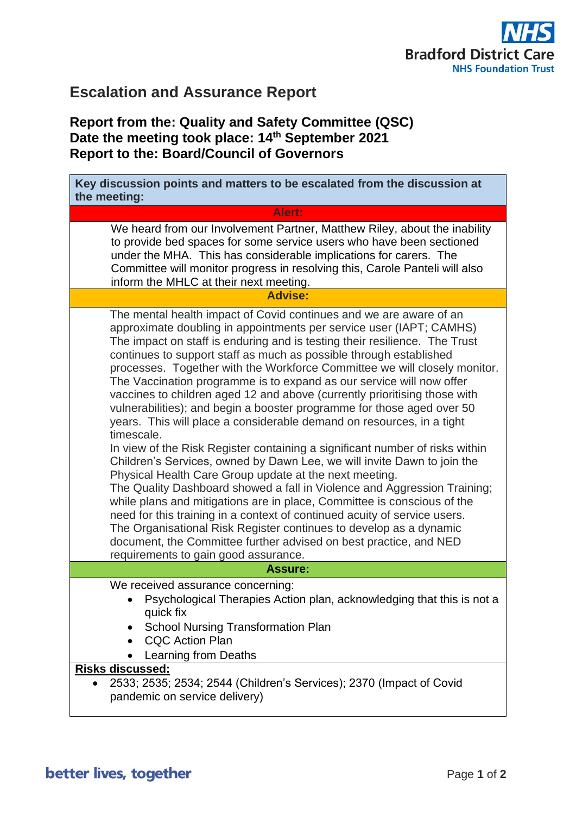

## **Escalation and Assurance Report**

## **Report from the: Quality and Safety Committee (QSC) Date the meeting took place: 14th September 2021 Report to the: Board/Council of Governors**

| Key discussion points and matters to be escalated from the discussion at<br>the meeting:                                                                                                                                                                                                                                                                                                                                                                                                                                                                                                                                                                                                                                                                                                                                                                                                                                                                                                                                                                                                                                                                                                                                                                                                                                                     |
|----------------------------------------------------------------------------------------------------------------------------------------------------------------------------------------------------------------------------------------------------------------------------------------------------------------------------------------------------------------------------------------------------------------------------------------------------------------------------------------------------------------------------------------------------------------------------------------------------------------------------------------------------------------------------------------------------------------------------------------------------------------------------------------------------------------------------------------------------------------------------------------------------------------------------------------------------------------------------------------------------------------------------------------------------------------------------------------------------------------------------------------------------------------------------------------------------------------------------------------------------------------------------------------------------------------------------------------------|
| Alert:                                                                                                                                                                                                                                                                                                                                                                                                                                                                                                                                                                                                                                                                                                                                                                                                                                                                                                                                                                                                                                                                                                                                                                                                                                                                                                                                       |
| We heard from our Involvement Partner, Matthew Riley, about the inability<br>to provide bed spaces for some service users who have been sectioned<br>under the MHA. This has considerable implications for carers. The<br>Committee will monitor progress in resolving this, Carole Panteli will also<br>inform the MHLC at their next meeting.                                                                                                                                                                                                                                                                                                                                                                                                                                                                                                                                                                                                                                                                                                                                                                                                                                                                                                                                                                                              |
| <b>Advise:</b>                                                                                                                                                                                                                                                                                                                                                                                                                                                                                                                                                                                                                                                                                                                                                                                                                                                                                                                                                                                                                                                                                                                                                                                                                                                                                                                               |
| The mental health impact of Covid continues and we are aware of an<br>approximate doubling in appointments per service user (IAPT; CAMHS)<br>The impact on staff is enduring and is testing their resilience. The Trust<br>continues to support staff as much as possible through established<br>processes. Together with the Workforce Committee we will closely monitor.<br>The Vaccination programme is to expand as our service will now offer<br>vaccines to children aged 12 and above (currently prioritising those with<br>vulnerabilities); and begin a booster programme for those aged over 50<br>years. This will place a considerable demand on resources, in a tight<br>timescale.<br>In view of the Risk Register containing a significant number of risks within<br>Children's Services, owned by Dawn Lee, we will invite Dawn to join the<br>Physical Health Care Group update at the next meeting.<br>The Quality Dashboard showed a fall in Violence and Aggression Training;<br>while plans and mitigations are in place, Committee is conscious of the<br>need for this training in a context of continued acuity of service users.<br>The Organisational Risk Register continues to develop as a dynamic<br>document, the Committee further advised on best practice, and NED<br>requirements to gain good assurance. |
| <b>Assure:</b>                                                                                                                                                                                                                                                                                                                                                                                                                                                                                                                                                                                                                                                                                                                                                                                                                                                                                                                                                                                                                                                                                                                                                                                                                                                                                                                               |
| We received assurance concerning:<br>Psychological Therapies Action plan, acknowledging that this is not a<br>quick fix<br><b>School Nursing Transformation Plan</b><br><b>CQC Action Plan</b><br>Learning from Deaths                                                                                                                                                                                                                                                                                                                                                                                                                                                                                                                                                                                                                                                                                                                                                                                                                                                                                                                                                                                                                                                                                                                       |
| <b>Risks discussed:</b><br>2533; 2535; 2534; 2544 (Children's Services); 2370 (Impact of Covid<br>pandemic on service delivery)                                                                                                                                                                                                                                                                                                                                                                                                                                                                                                                                                                                                                                                                                                                                                                                                                                                                                                                                                                                                                                                                                                                                                                                                              |